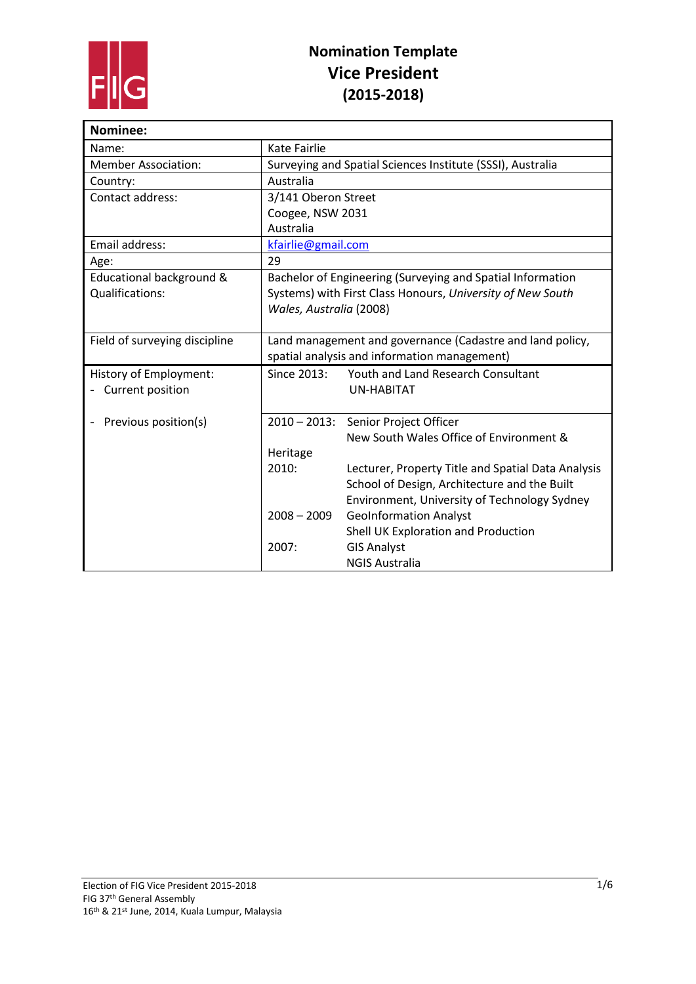

| Nominee:                      |                                                            |                                                            |
|-------------------------------|------------------------------------------------------------|------------------------------------------------------------|
| Name:                         | Kate Fairlie                                               |                                                            |
| <b>Member Association:</b>    | Surveying and Spatial Sciences Institute (SSSI), Australia |                                                            |
| Country:                      | Australia                                                  |                                                            |
| Contact address:              | 3/141 Oberon Street                                        |                                                            |
|                               | Coogee, NSW 2031                                           |                                                            |
|                               | Australia                                                  |                                                            |
| Email address:                | kfairlie@gmail.com                                         |                                                            |
| Age:                          | 29                                                         |                                                            |
| Educational background &      | Bachelor of Engineering (Surveying and Spatial Information |                                                            |
| Qualifications:               |                                                            | Systems) with First Class Honours, University of New South |
|                               | Wales, Australia (2008)                                    |                                                            |
|                               |                                                            |                                                            |
| Field of surveying discipline | Land management and governance (Cadastre and land policy,  |                                                            |
|                               |                                                            | spatial analysis and information management)               |
| History of Employment:        | Since 2013:                                                | Youth and Land Research Consultant                         |
| Current position              |                                                            | <b>UN-HABITAT</b>                                          |
|                               |                                                            |                                                            |
| Previous position(s)          |                                                            | 2010 - 2013: Senior Project Officer                        |
|                               |                                                            | New South Wales Office of Environment &                    |
|                               | Heritage                                                   |                                                            |
|                               | 2010:                                                      | Lecturer, Property Title and Spatial Data Analysis         |
|                               |                                                            | School of Design, Architecture and the Built               |
|                               |                                                            | Environment, University of Technology Sydney               |
|                               | $2008 - 2009$                                              | <b>GeoInformation Analyst</b>                              |
|                               |                                                            | Shell UK Exploration and Production                        |
|                               | 2007:                                                      | <b>GIS Analyst</b>                                         |
|                               |                                                            | <b>NGIS Australia</b>                                      |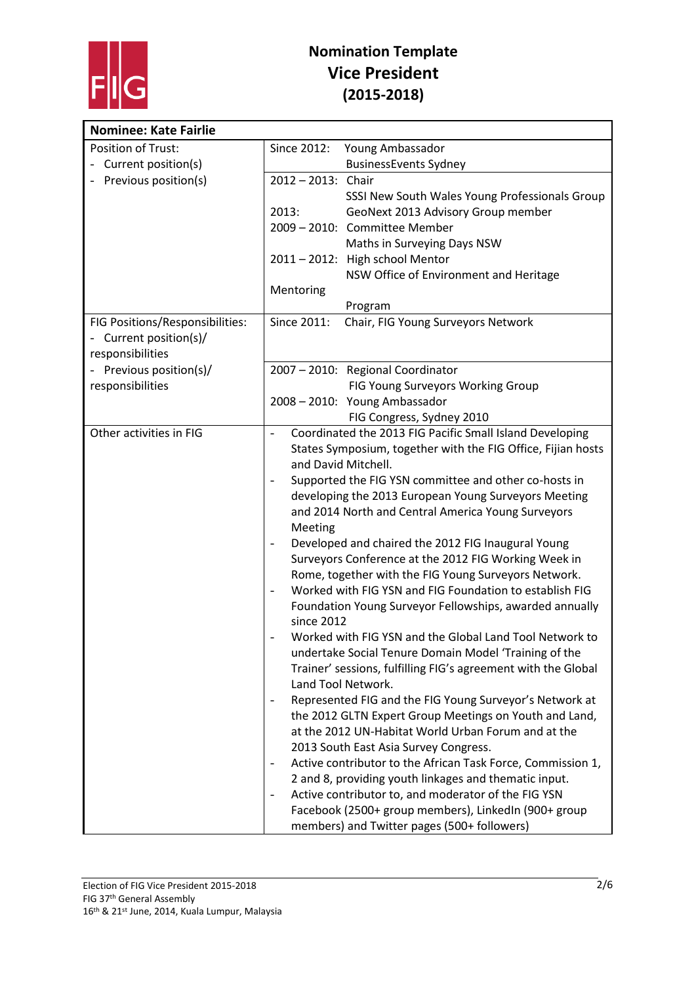

| <b>Nominee: Kate Fairlie</b>    |                                                                                         |
|---------------------------------|-----------------------------------------------------------------------------------------|
| Position of Trust:              | Since 2012:<br>Young Ambassador                                                         |
| Current position(s)             | <b>BusinessEvents Sydney</b>                                                            |
| Previous position(s)            | 2012-2013: Chair                                                                        |
|                                 | SSSI New South Wales Young Professionals Group                                          |
|                                 | GeoNext 2013 Advisory Group member<br>2013:                                             |
|                                 | 2009 - 2010: Committee Member                                                           |
|                                 | Maths in Surveying Days NSW                                                             |
|                                 | 2011 - 2012: High school Mentor                                                         |
|                                 | NSW Office of Environment and Heritage                                                  |
|                                 | Mentoring                                                                               |
|                                 | Program                                                                                 |
| FIG Positions/Responsibilities: | Since 2011:<br>Chair, FIG Young Surveyors Network                                       |
| Current position(s)/            |                                                                                         |
| responsibilities                |                                                                                         |
| - Previous position(s)/         | 2007 - 2010: Regional Coordinator                                                       |
| responsibilities                | FIG Young Surveyors Working Group                                                       |
|                                 | 2008 - 2010: Young Ambassador                                                           |
|                                 | FIG Congress, Sydney 2010                                                               |
| Other activities in FIG         | Coordinated the 2013 FIG Pacific Small Island Developing<br>$\overline{\phantom{a}}$    |
|                                 | States Symposium, together with the FIG Office, Fijian hosts                            |
|                                 | and David Mitchell.                                                                     |
|                                 | Supported the FIG YSN committee and other co-hosts in                                   |
|                                 | developing the 2013 European Young Surveyors Meeting                                    |
|                                 | and 2014 North and Central America Young Surveyors                                      |
|                                 | Meeting                                                                                 |
|                                 | Developed and chaired the 2012 FIG Inaugural Young                                      |
|                                 | Surveyors Conference at the 2012 FIG Working Week in                                    |
|                                 | Rome, together with the FIG Young Surveyors Network.                                    |
|                                 | Worked with FIG YSN and FIG Foundation to establish FIG                                 |
|                                 | Foundation Young Surveyor Fellowships, awarded annually<br>since 2012                   |
|                                 | Worked with FIG YSN and the Global Land Tool Network to                                 |
|                                 | undertake Social Tenure Domain Model 'Training of the                                   |
|                                 | Trainer' sessions, fulfilling FIG's agreement with the Global                           |
|                                 | Land Tool Network.                                                                      |
|                                 | Represented FIG and the FIG Young Surveyor's Network at<br>$\overline{\phantom{a}}$     |
|                                 | the 2012 GLTN Expert Group Meetings on Youth and Land,                                  |
|                                 | at the 2012 UN-Habitat World Urban Forum and at the                                     |
|                                 | 2013 South East Asia Survey Congress.                                                   |
|                                 | Active contributor to the African Task Force, Commission 1,<br>$\overline{\phantom{a}}$ |
|                                 | 2 and 8, providing youth linkages and thematic input.                                   |
|                                 | Active contributor to, and moderator of the FIG YSN                                     |
|                                 | Facebook (2500+ group members), LinkedIn (900+ group                                    |
|                                 | members) and Twitter pages (500+ followers)                                             |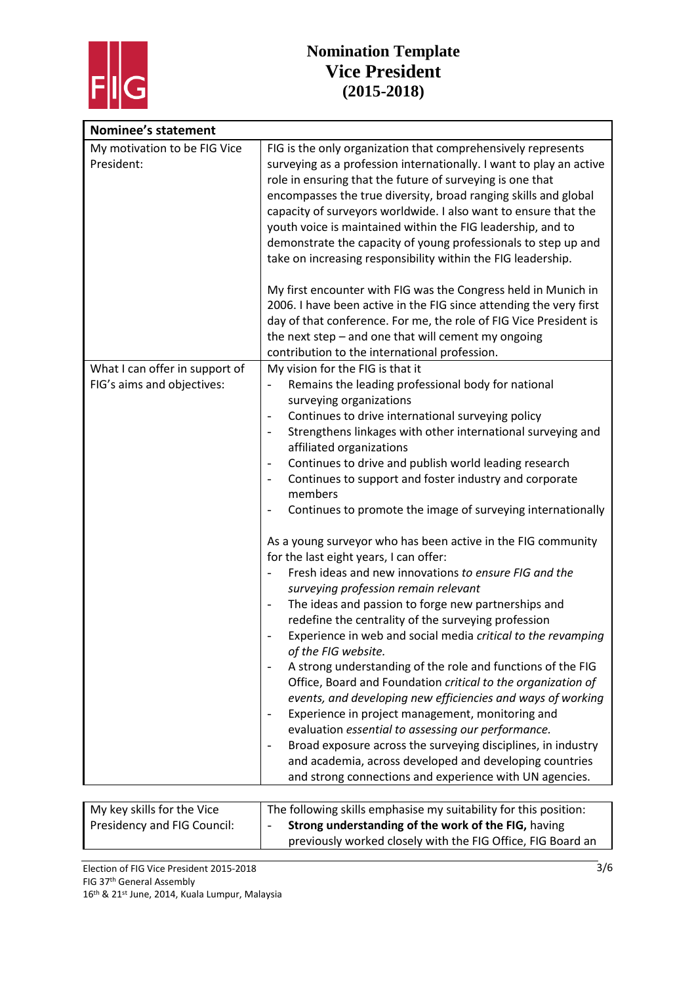

| <b>Nominee's statement</b>                 |                                                                                                                                                                                                                                                                                                                                                                                                                                                                                                                                                                                                                                                                                                                                                                                                                                                                                                                                                                                                                                                                                               |
|--------------------------------------------|-----------------------------------------------------------------------------------------------------------------------------------------------------------------------------------------------------------------------------------------------------------------------------------------------------------------------------------------------------------------------------------------------------------------------------------------------------------------------------------------------------------------------------------------------------------------------------------------------------------------------------------------------------------------------------------------------------------------------------------------------------------------------------------------------------------------------------------------------------------------------------------------------------------------------------------------------------------------------------------------------------------------------------------------------------------------------------------------------|
| My motivation to be FIG Vice<br>President: | FIG is the only organization that comprehensively represents<br>surveying as a profession internationally. I want to play an active<br>role in ensuring that the future of surveying is one that<br>encompasses the true diversity, broad ranging skills and global<br>capacity of surveyors worldwide. I also want to ensure that the<br>youth voice is maintained within the FIG leadership, and to<br>demonstrate the capacity of young professionals to step up and<br>take on increasing responsibility within the FIG leadership.<br>My first encounter with FIG was the Congress held in Munich in<br>2006. I have been active in the FIG since attending the very first<br>day of that conference. For me, the role of FIG Vice President is<br>the next step $-$ and one that will cement my ongoing                                                                                                                                                                                                                                                                                 |
| What I can offer in support of             | contribution to the international profession.<br>My vision for the FIG is that it                                                                                                                                                                                                                                                                                                                                                                                                                                                                                                                                                                                                                                                                                                                                                                                                                                                                                                                                                                                                             |
| FIG's aims and objectives:                 | Remains the leading professional body for national<br>$\qquad \qquad \blacksquare$<br>surveying organizations<br>Continues to drive international surveying policy<br>$\overline{\phantom{0}}$<br>Strengthens linkages with other international surveying and<br>$\qquad \qquad \blacksquare$<br>affiliated organizations<br>Continues to drive and publish world leading research<br>$\overline{\phantom{a}}$<br>Continues to support and foster industry and corporate<br>$\qquad \qquad -$<br>members<br>Continues to promote the image of surveying internationally<br>$\overline{\phantom{0}}$<br>As a young surveyor who has been active in the FIG community<br>for the last eight years, I can offer:<br>Fresh ideas and new innovations to ensure FIG and the<br>$\qquad \qquad -$<br>surveying profession remain relevant<br>The ideas and passion to forge new partnerships and<br>$\qquad \qquad \blacksquare$<br>redefine the centrality of the surveying profession<br>Experience in web and social media critical to the revamping<br>$\qquad \qquad -$<br>of the FIG website. |
|                                            | A strong understanding of the role and functions of the FIG<br>Office, Board and Foundation critical to the organization of<br>events, and developing new efficiencies and ways of working<br>Experience in project management, monitoring and<br>$\overline{\phantom{a}}$<br>evaluation essential to assessing our performance.<br>Broad exposure across the surveying disciplines, in industry<br>and academia, across developed and developing countries<br>and strong connections and experience with UN agencies.                                                                                                                                                                                                                                                                                                                                                                                                                                                                                                                                                                        |

| My key skills for the Vice  | The following skills emphasise my suitability for this position: |  |
|-----------------------------|------------------------------------------------------------------|--|
| Presidency and FIG Council: | Strong understanding of the work of the FIG, having              |  |
|                             | previously worked closely with the FIG Office, FIG Board an      |  |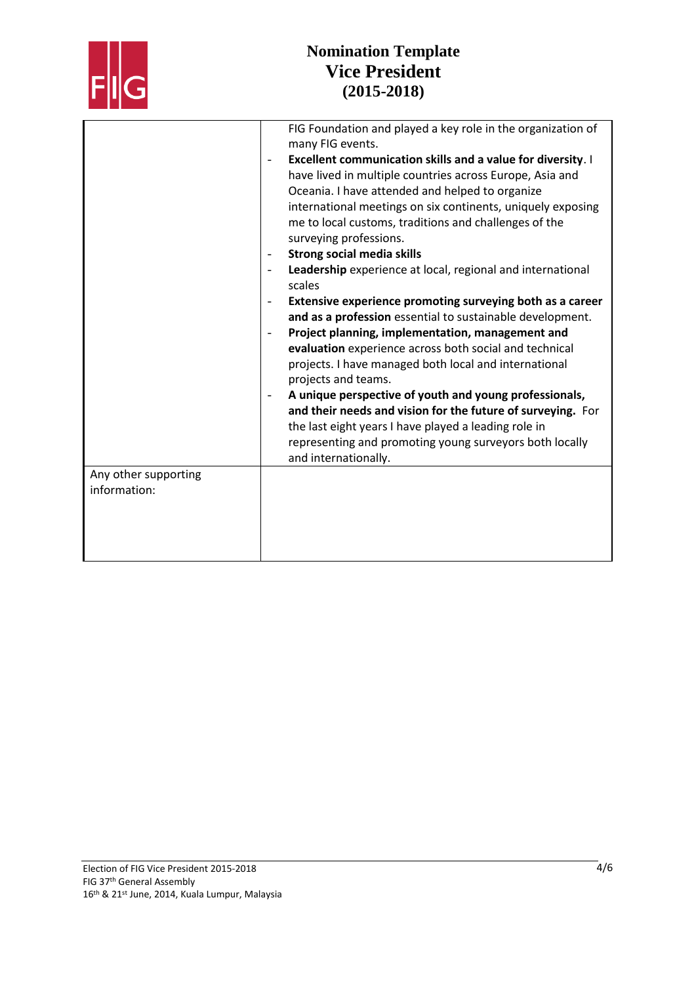

|                                      | FIG Foundation and played a key role in the organization of<br>many FIG events.                                                                                                                                                                                                                                                                                                                                                 |
|--------------------------------------|---------------------------------------------------------------------------------------------------------------------------------------------------------------------------------------------------------------------------------------------------------------------------------------------------------------------------------------------------------------------------------------------------------------------------------|
|                                      | Excellent communication skills and a value for diversity. I<br>have lived in multiple countries across Europe, Asia and<br>Oceania. I have attended and helped to organize<br>international meetings on six continents, uniquely exposing<br>me to local customs, traditions and challenges of the<br>surveying professions.<br><b>Strong social media skills</b><br>Leadership experience at local, regional and international |
|                                      | scales<br>Extensive experience promoting surveying both as a career<br>and as a profession essential to sustainable development.<br>Project planning, implementation, management and                                                                                                                                                                                                                                            |
|                                      | evaluation experience across both social and technical<br>projects. I have managed both local and international<br>projects and teams.                                                                                                                                                                                                                                                                                          |
|                                      | A unique perspective of youth and young professionals,<br>and their needs and vision for the future of surveying. For<br>the last eight years I have played a leading role in<br>representing and promoting young surveyors both locally<br>and internationally.                                                                                                                                                                |
| Any other supporting<br>information: |                                                                                                                                                                                                                                                                                                                                                                                                                                 |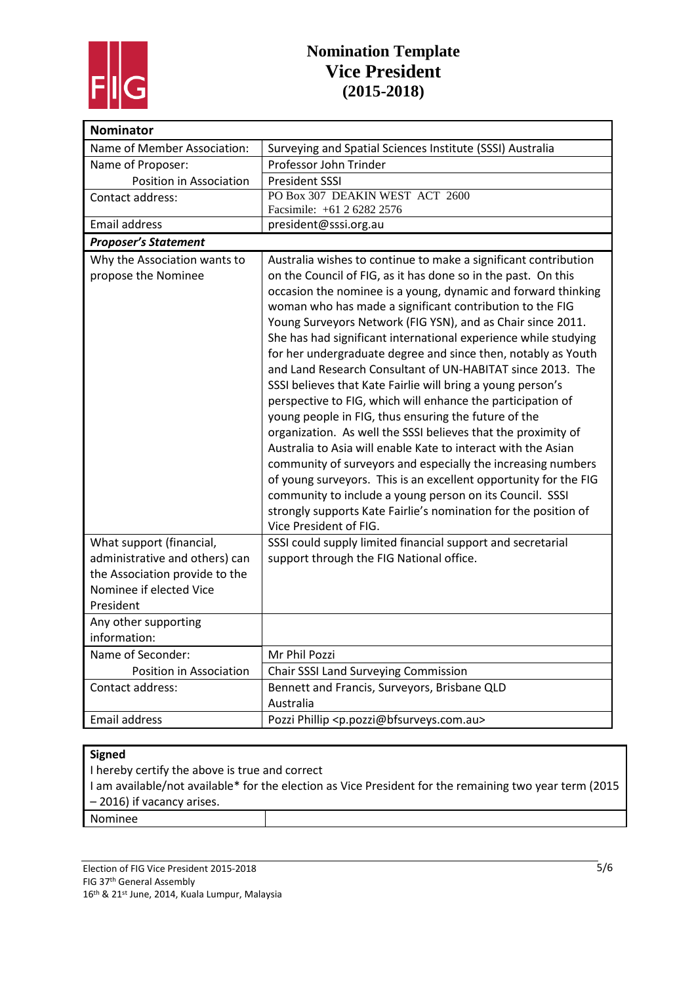

| <b>Nominator</b>               |                                                                     |
|--------------------------------|---------------------------------------------------------------------|
| Name of Member Association:    | Surveying and Spatial Sciences Institute (SSSI) Australia           |
| Name of Proposer:              | Professor John Trinder                                              |
| Position in Association        | <b>President SSSI</b>                                               |
| Contact address:               | PO Box 307 DEAKIN WEST ACT 2600                                     |
|                                | Facsimile: +61 2 6282 2576                                          |
| Email address                  | president@sssi.org.au                                               |
| <b>Proposer's Statement</b>    |                                                                     |
| Why the Association wants to   | Australia wishes to continue to make a significant contribution     |
| propose the Nominee            | on the Council of FIG, as it has done so in the past. On this       |
|                                | occasion the nominee is a young, dynamic and forward thinking       |
|                                | woman who has made a significant contribution to the FIG            |
|                                | Young Surveyors Network (FIG YSN), and as Chair since 2011.         |
|                                | She has had significant international experience while studying     |
|                                | for her undergraduate degree and since then, notably as Youth       |
|                                | and Land Research Consultant of UN-HABITAT since 2013. The          |
|                                | SSSI believes that Kate Fairlie will bring a young person's         |
|                                | perspective to FIG, which will enhance the participation of         |
|                                | young people in FIG, thus ensuring the future of the                |
|                                | organization. As well the SSSI believes that the proximity of       |
|                                | Australia to Asia will enable Kate to interact with the Asian       |
|                                | community of surveyors and especially the increasing numbers        |
|                                | of young surveyors. This is an excellent opportunity for the FIG    |
|                                | community to include a young person on its Council. SSSI            |
|                                | strongly supports Kate Fairlie's nomination for the position of     |
|                                | Vice President of FIG.                                              |
| What support (financial,       | SSSI could supply limited financial support and secretarial         |
| administrative and others) can | support through the FIG National office.                            |
| the Association provide to the |                                                                     |
| Nominee if elected Vice        |                                                                     |
| President                      |                                                                     |
| Any other supporting           |                                                                     |
| information:                   |                                                                     |
| Name of Seconder:              | Mr Phil Pozzi                                                       |
| Position in Association        | Chair SSSI Land Surveying Commission                                |
| Contact address:               | Bennett and Francis, Surveyors, Brisbane QLD                        |
|                                | Australia                                                           |
| Email address                  | Pozzi Phillip <p.pozzi@bfsurveys.com.au></p.pozzi@bfsurveys.com.au> |

#### **Signed**

I hereby certify the above is true and correct

I am available/not available\* for the election as Vice President for the remaining two year term (2015 – 2016) if vacancy arises.

Nominee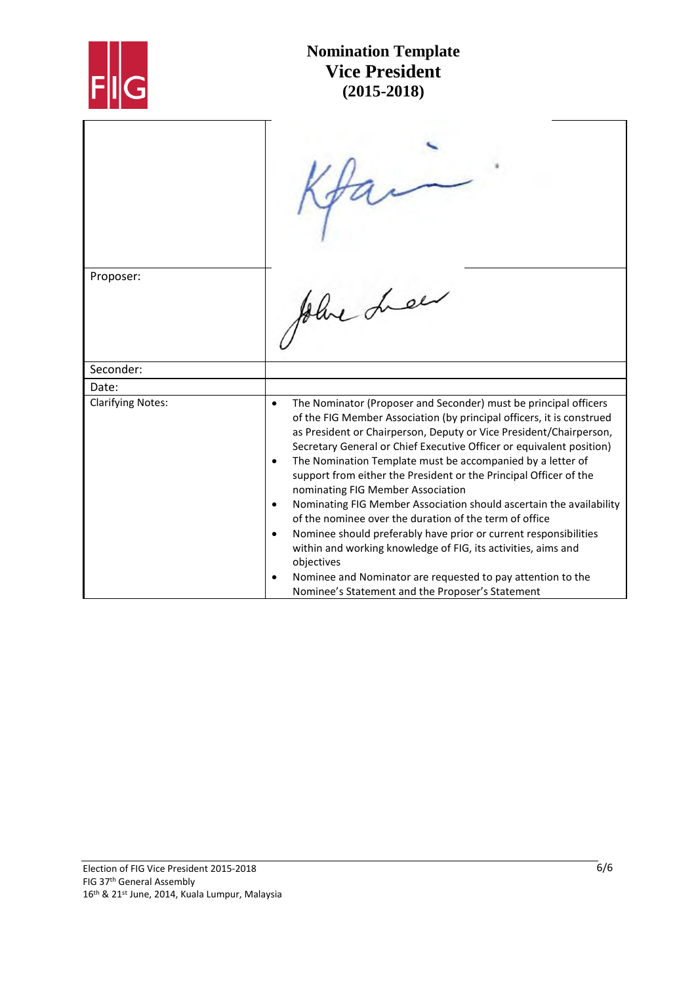

| Proposer:                |                                                                                                                                                                                                                                                                                                                                                                                                                                                                                                                                                                                                                                                                                                                                                                                                                                              |
|--------------------------|----------------------------------------------------------------------------------------------------------------------------------------------------------------------------------------------------------------------------------------------------------------------------------------------------------------------------------------------------------------------------------------------------------------------------------------------------------------------------------------------------------------------------------------------------------------------------------------------------------------------------------------------------------------------------------------------------------------------------------------------------------------------------------------------------------------------------------------------|
|                          |                                                                                                                                                                                                                                                                                                                                                                                                                                                                                                                                                                                                                                                                                                                                                                                                                                              |
| Seconder:                |                                                                                                                                                                                                                                                                                                                                                                                                                                                                                                                                                                                                                                                                                                                                                                                                                                              |
| Date:                    |                                                                                                                                                                                                                                                                                                                                                                                                                                                                                                                                                                                                                                                                                                                                                                                                                                              |
| <b>Clarifying Notes:</b> | The Nominator (Proposer and Seconder) must be principal officers<br>$\bullet$<br>of the FIG Member Association (by principal officers, it is construed<br>as President or Chairperson, Deputy or Vice President/Chairperson,<br>Secretary General or Chief Executive Officer or equivalent position)<br>The Nomination Template must be accompanied by a letter of<br>$\bullet$<br>support from either the President or the Principal Officer of the<br>nominating FIG Member Association<br>Nominating FIG Member Association should ascertain the availability<br>of the nominee over the duration of the term of office<br>Nominee should preferably have prior or current responsibilities<br>within and working knowledge of FIG, its activities, aims and<br>objectives<br>Nominee and Nominator are requested to pay attention to the |
|                          | Nominee's Statement and the Proposer's Statement                                                                                                                                                                                                                                                                                                                                                                                                                                                                                                                                                                                                                                                                                                                                                                                             |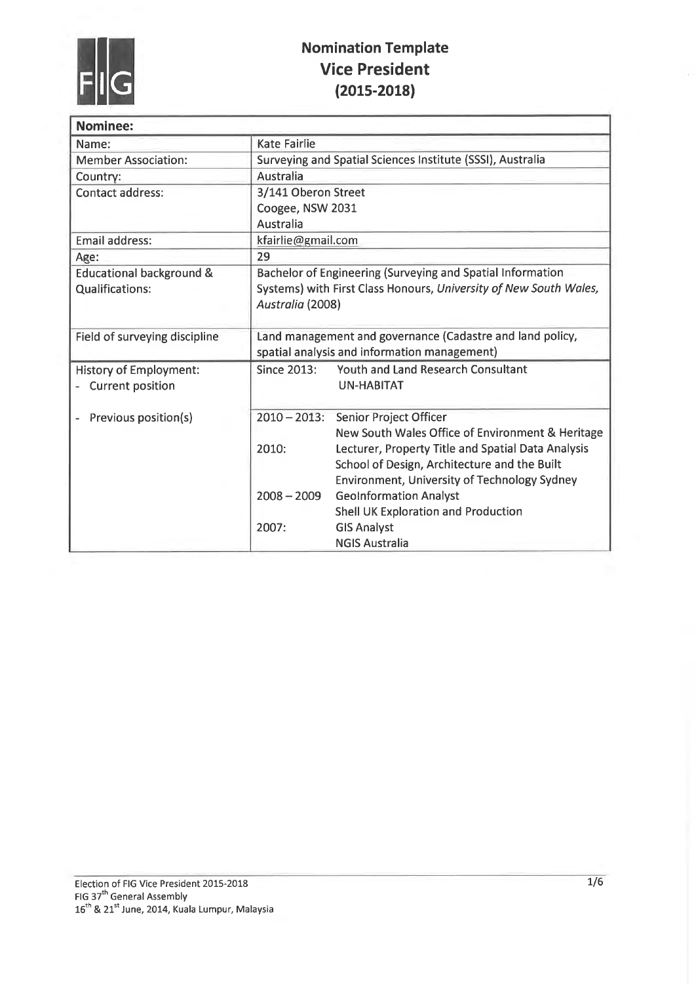

| <b>Nominee:</b>                     |                                                                   |                                                     |  |
|-------------------------------------|-------------------------------------------------------------------|-----------------------------------------------------|--|
| Name:                               | <b>Kate Fairlie</b>                                               |                                                     |  |
| <b>Member Association:</b>          | Surveying and Spatial Sciences Institute (SSSI), Australia        |                                                     |  |
| Country:                            | Australia                                                         |                                                     |  |
| Contact address:                    | 3/141 Oberon Street                                               |                                                     |  |
|                                     | Coogee, NSW 2031                                                  |                                                     |  |
|                                     | Australia                                                         |                                                     |  |
| Email address:                      | kfairlie@gmail.com                                                |                                                     |  |
| Age:                                | 29                                                                |                                                     |  |
| <b>Educational background &amp;</b> | Bachelor of Engineering (Surveying and Spatial Information        |                                                     |  |
| <b>Qualifications:</b>              | Systems) with First Class Honours, University of New South Wales, |                                                     |  |
|                                     | Australia (2008)                                                  |                                                     |  |
|                                     |                                                                   |                                                     |  |
| Field of surveying discipline       | Land management and governance (Cadastre and land policy,         |                                                     |  |
|                                     | spatial analysis and information management)                      |                                                     |  |
| <b>History of Employment:</b>       | <b>Since 2013:</b>                                                | <b>Youth and Land Research Consultant</b>           |  |
| <b>Current position</b>             |                                                                   | <b>UN-HABITAT</b>                                   |  |
|                                     |                                                                   |                                                     |  |
| Previous position(s)                | $2010 - 2013$ :                                                   | <b>Senior Project Officer</b>                       |  |
|                                     |                                                                   | New South Wales Office of Environment & Heritage    |  |
|                                     | 2010:                                                             | Lecturer, Property Title and Spatial Data Analysis  |  |
|                                     |                                                                   | School of Design, Architecture and the Built        |  |
|                                     |                                                                   | <b>Environment, University of Technology Sydney</b> |  |
|                                     | $2008 - 2009$                                                     | <b>GeoInformation Analyst</b>                       |  |
|                                     |                                                                   | Shell UK Exploration and Production                 |  |
|                                     | 2007:                                                             | <b>GIS Analyst</b><br><b>NGIS Australia</b>         |  |
|                                     |                                                                   |                                                     |  |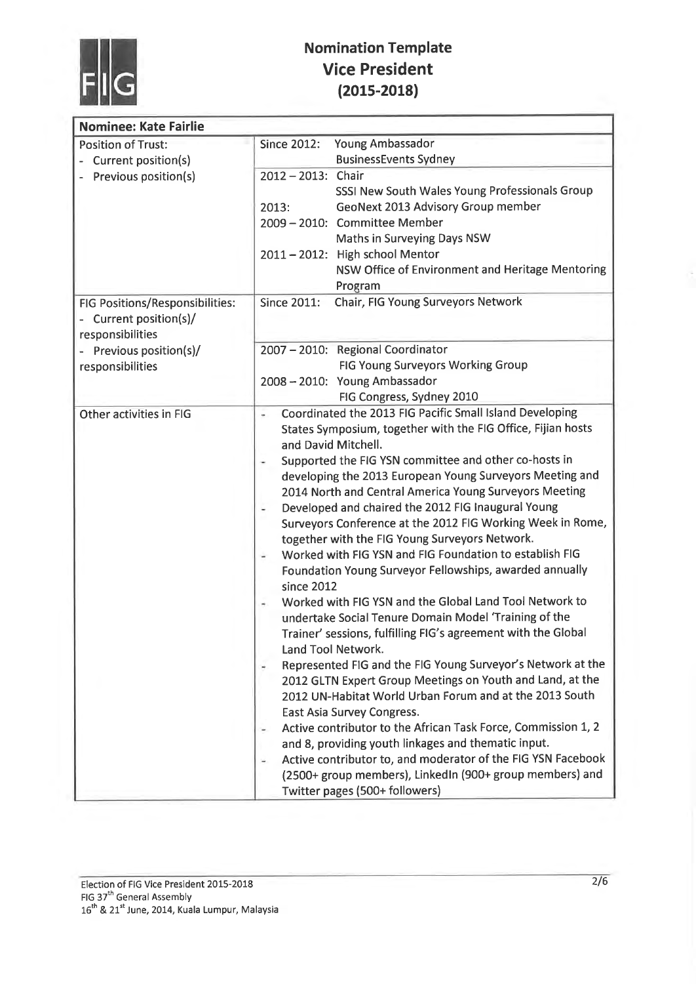

| <b>Nominee: Kate Fairlie</b>                                                |                                                                                                                                                                                                                                                                                                                                                                                                                                                                                                                                                                                                                                                                                                                                                                                                                                                                                                                                                                                                                                                                                                                                                                                                                                                                                                                                                                                            |
|-----------------------------------------------------------------------------|--------------------------------------------------------------------------------------------------------------------------------------------------------------------------------------------------------------------------------------------------------------------------------------------------------------------------------------------------------------------------------------------------------------------------------------------------------------------------------------------------------------------------------------------------------------------------------------------------------------------------------------------------------------------------------------------------------------------------------------------------------------------------------------------------------------------------------------------------------------------------------------------------------------------------------------------------------------------------------------------------------------------------------------------------------------------------------------------------------------------------------------------------------------------------------------------------------------------------------------------------------------------------------------------------------------------------------------------------------------------------------------------|
| <b>Position of Trust:</b><br>Current position(s)                            | <b>Since 2012:</b><br>Young Ambassador<br><b>BusinessEvents Sydney</b>                                                                                                                                                                                                                                                                                                                                                                                                                                                                                                                                                                                                                                                                                                                                                                                                                                                                                                                                                                                                                                                                                                                                                                                                                                                                                                                     |
| Previous position(s)                                                        | 2012-2013: Chair<br>SSSI New South Wales Young Professionals Group                                                                                                                                                                                                                                                                                                                                                                                                                                                                                                                                                                                                                                                                                                                                                                                                                                                                                                                                                                                                                                                                                                                                                                                                                                                                                                                         |
|                                                                             | GeoNext 2013 Advisory Group member<br>2013:<br>2009 - 2010: Committee Member                                                                                                                                                                                                                                                                                                                                                                                                                                                                                                                                                                                                                                                                                                                                                                                                                                                                                                                                                                                                                                                                                                                                                                                                                                                                                                               |
|                                                                             | Maths in Surveying Days NSW<br>2011 - 2012: High school Mentor                                                                                                                                                                                                                                                                                                                                                                                                                                                                                                                                                                                                                                                                                                                                                                                                                                                                                                                                                                                                                                                                                                                                                                                                                                                                                                                             |
|                                                                             | NSW Office of Environment and Heritage Mentoring<br>Program                                                                                                                                                                                                                                                                                                                                                                                                                                                                                                                                                                                                                                                                                                                                                                                                                                                                                                                                                                                                                                                                                                                                                                                                                                                                                                                                |
| FIG Positions/Responsibilities:<br>Current position(s)/<br>responsibilities | Chair, FIG Young Surveyors Network<br><b>Since 2011:</b>                                                                                                                                                                                                                                                                                                                                                                                                                                                                                                                                                                                                                                                                                                                                                                                                                                                                                                                                                                                                                                                                                                                                                                                                                                                                                                                                   |
| Previous position(s)/                                                       | 2007 - 2010: Regional Coordinator<br>FIG Young Surveyors Working Group                                                                                                                                                                                                                                                                                                                                                                                                                                                                                                                                                                                                                                                                                                                                                                                                                                                                                                                                                                                                                                                                                                                                                                                                                                                                                                                     |
| responsibilities                                                            | 2008 - 2010: Young Ambassador                                                                                                                                                                                                                                                                                                                                                                                                                                                                                                                                                                                                                                                                                                                                                                                                                                                                                                                                                                                                                                                                                                                                                                                                                                                                                                                                                              |
|                                                                             | FIG Congress, Sydney 2010                                                                                                                                                                                                                                                                                                                                                                                                                                                                                                                                                                                                                                                                                                                                                                                                                                                                                                                                                                                                                                                                                                                                                                                                                                                                                                                                                                  |
| Other activities in FIG                                                     | Coordinated the 2013 FIG Pacific Small Island Developing<br>States Symposium, together with the FIG Office, Fijian hosts<br>and David Mitchell.<br>Supported the FIG YSN committee and other co-hosts in<br>developing the 2013 European Young Surveyors Meeting and<br>2014 North and Central America Young Surveyors Meeting<br>Developed and chaired the 2012 FIG Inaugural Young<br>Surveyors Conference at the 2012 FIG Working Week in Rome,<br>together with the FIG Young Surveyors Network.<br>Worked with FIG YSN and FIG Foundation to establish FIG<br>Foundation Young Surveyor Fellowships, awarded annually<br>since 2012<br>Worked with FIG YSN and the Global Land Tool Network to<br>undertake Social Tenure Domain Model 'Training of the<br>Trainer' sessions, fulfilling FIG's agreement with the Global<br>Land Tool Network.<br>Represented FIG and the FIG Young Surveyor's Network at the<br>2012 GLTN Expert Group Meetings on Youth and Land, at the<br>2012 UN-Habitat World Urban Forum and at the 2013 South<br>East Asia Survey Congress.<br>Active contributor to the African Task Force, Commission 1, 2<br>and 8, providing youth linkages and thematic input.<br>Active contributor to, and moderator of the FIG YSN Facebook<br>$\overline{\phantom{a}}$<br>(2500+ group members), LinkedIn (900+ group members) and<br>Twitter pages (500+ followers) |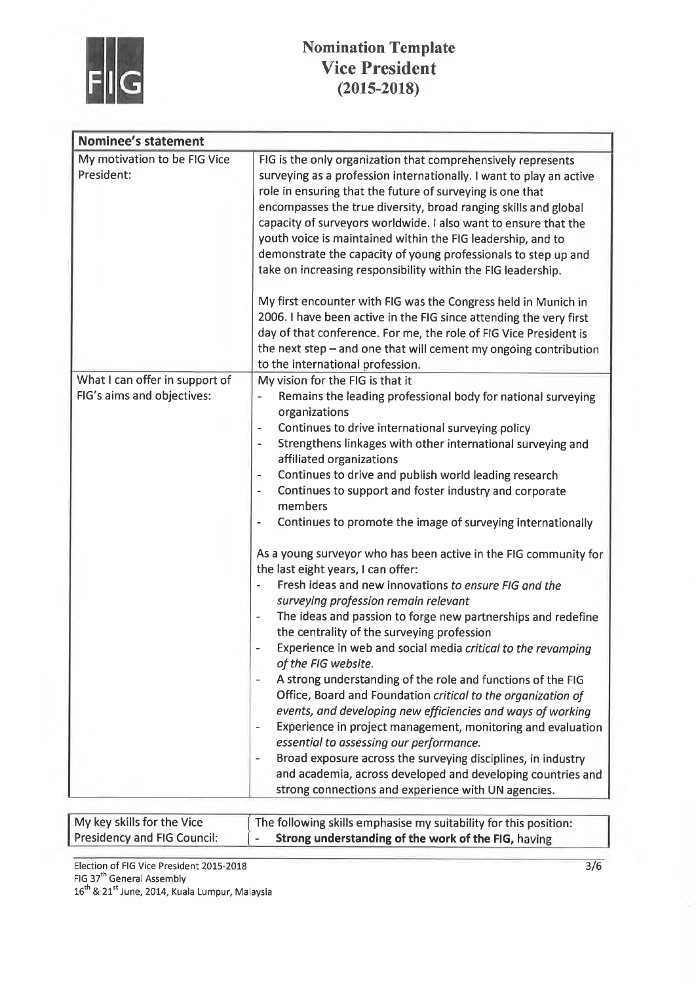

| <b>Nominee's statement</b>                                   |                                                                                                                                                                                                                                                                                                                                                                                                                                                                                                                                                                                                                                                                                                                                                                                                                                                                                                                                                                                                                                                                                                                                                                                                                                                                                                                                                                                                                                                                                                                                                                                                                      |
|--------------------------------------------------------------|----------------------------------------------------------------------------------------------------------------------------------------------------------------------------------------------------------------------------------------------------------------------------------------------------------------------------------------------------------------------------------------------------------------------------------------------------------------------------------------------------------------------------------------------------------------------------------------------------------------------------------------------------------------------------------------------------------------------------------------------------------------------------------------------------------------------------------------------------------------------------------------------------------------------------------------------------------------------------------------------------------------------------------------------------------------------------------------------------------------------------------------------------------------------------------------------------------------------------------------------------------------------------------------------------------------------------------------------------------------------------------------------------------------------------------------------------------------------------------------------------------------------------------------------------------------------------------------------------------------------|
| My motivation to be FIG Vice<br>President:                   | FIG is the only organization that comprehensively represents<br>surveying as a profession internationally. I want to play an active<br>role in ensuring that the future of surveying is one that<br>encompasses the true diversity, broad ranging skills and global<br>capacity of surveyors worldwide. I also want to ensure that the<br>youth voice is maintained within the FIG leadership, and to<br>demonstrate the capacity of young professionals to step up and<br>take on increasing responsibility within the FIG leadership.<br>My first encounter with FIG was the Congress held in Munich in<br>2006. I have been active in the FIG since attending the very first<br>day of that conference. For me, the role of FIG Vice President is<br>the next step - and one that will cement my ongoing contribution<br>to the international profession.                                                                                                                                                                                                                                                                                                                                                                                                                                                                                                                                                                                                                                                                                                                                                         |
| What I can offer in support of<br>FIG's aims and objectives: | My vision for the FIG is that it<br>Remains the leading professional body for national surveying<br>$\overline{\phantom{a}}$<br>organizations<br>Continues to drive international surveying policy<br>$\overline{\phantom{0}}$<br>Strengthens linkages with other international surveying and<br>$\overline{\phantom{a}}$<br>affiliated organizations<br>Continues to drive and publish world leading research<br>$\overline{\phantom{a}}$<br>Continues to support and foster industry and corporate<br>$\qquad \qquad \blacksquare$<br>members<br>Continues to promote the image of surveying internationally<br>$\overline{\phantom{0}}$<br>As a young surveyor who has been active in the FIG community for<br>the last eight years, I can offer:<br>Fresh ideas and new innovations to ensure FIG and the<br>$\qquad \qquad \blacksquare$<br>surveying profession remain relevant<br>The ideas and passion to forge new partnerships and redefine<br>the centrality of the surveying profession<br>Experience in web and social media critical to the revamping<br>$\overline{\phantom{0}}$<br>of the FIG website.<br>A strong understanding of the role and functions of the FIG<br>Office, Board and Foundation critical to the organization of<br>events, and developing new efficiencies and ways of working<br>Experience in project management, monitoring and evaluation<br>essential to assessing our performance.<br>Broad exposure across the surveying disciplines, in industry<br>and academia, across developed and developing countries and<br>strong connections and experience with UN agencies. |

| My key skills for the Vice  | The following skills emphasise my suitability for this position: |
|-----------------------------|------------------------------------------------------------------|
| Presidency and FIG Council: | Strong understanding of the work of the FIG, having              |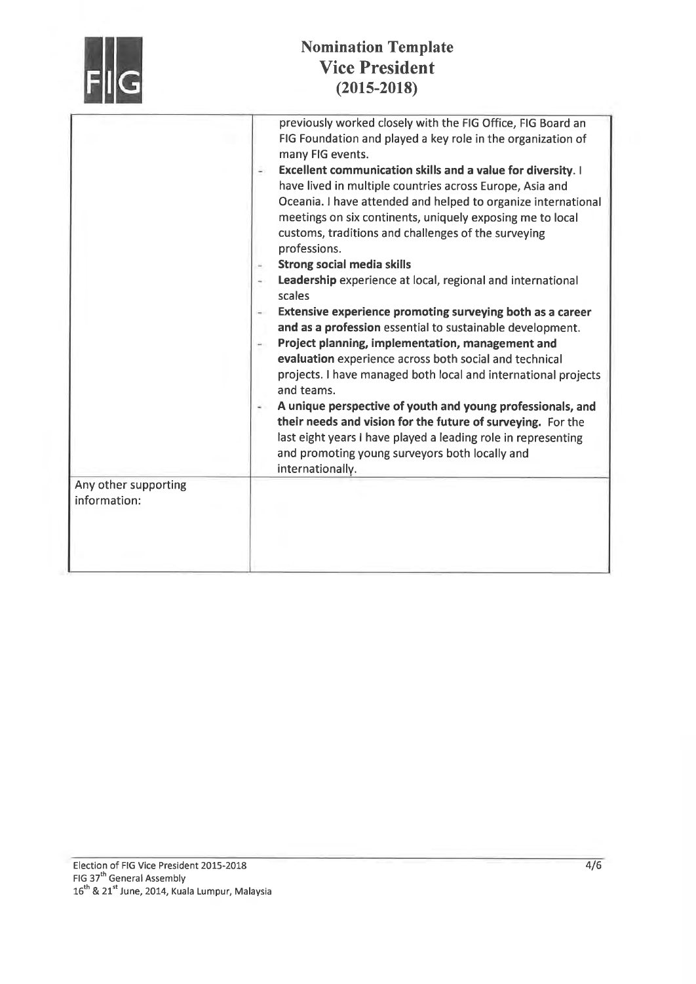|                                      | <b>Nomination Template</b><br><b>Vice President</b><br>$(2015 - 2018)$                                                                                                                                                                                                                                                                                                                                                                                                                                                                                                                                                                                                                                                                                                                                                                                                                                                                                                                                                                                                                                                                                                                  |
|--------------------------------------|-----------------------------------------------------------------------------------------------------------------------------------------------------------------------------------------------------------------------------------------------------------------------------------------------------------------------------------------------------------------------------------------------------------------------------------------------------------------------------------------------------------------------------------------------------------------------------------------------------------------------------------------------------------------------------------------------------------------------------------------------------------------------------------------------------------------------------------------------------------------------------------------------------------------------------------------------------------------------------------------------------------------------------------------------------------------------------------------------------------------------------------------------------------------------------------------|
|                                      | previously worked closely with the FIG Office, FIG Board an<br>FIG Foundation and played a key role in the organization of<br>many FIG events.<br>Excellent communication skills and a value for diversity. I<br>have lived in multiple countries across Europe, Asia and<br>Oceania. I have attended and helped to organize international<br>meetings on six continents, uniquely exposing me to local<br>customs, traditions and challenges of the surveying<br>professions.<br><b>Strong social media skills</b><br>Leadership experience at local, regional and international<br>scales<br>Extensive experience promoting surveying both as a career<br>and as a profession essential to sustainable development.<br>Project planning, implementation, management and<br>evaluation experience across both social and technical<br>projects. I have managed both local and international projects<br>and teams.<br>A unique perspective of youth and young professionals, and<br>their needs and vision for the future of surveying. For the<br>last eight years I have played a leading role in representing<br>and promoting young surveyors both locally and<br>internationally. |
| Any other supporting<br>information: |                                                                                                                                                                                                                                                                                                                                                                                                                                                                                                                                                                                                                                                                                                                                                                                                                                                                                                                                                                                                                                                                                                                                                                                         |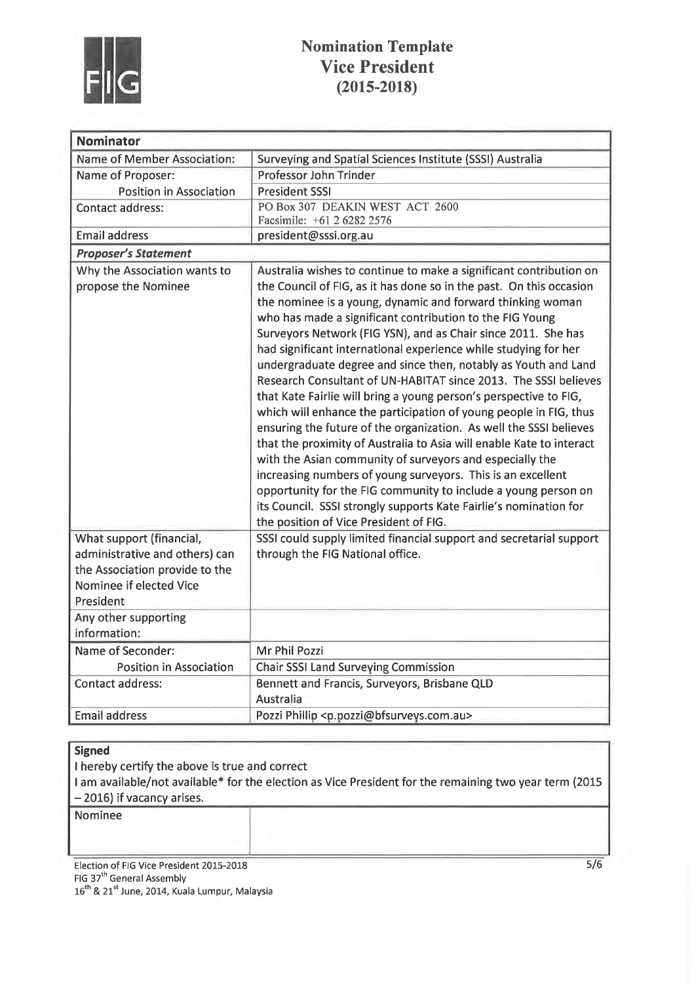

| <b>Nominator</b>                                                                                                                     |                                                                                                                                                                                                                                                                                                                                                                                                                                                                                                                                                                                                                                                                                                                                                                                                                                                                                                                                                                                                                                                                                                                                                  |
|--------------------------------------------------------------------------------------------------------------------------------------|--------------------------------------------------------------------------------------------------------------------------------------------------------------------------------------------------------------------------------------------------------------------------------------------------------------------------------------------------------------------------------------------------------------------------------------------------------------------------------------------------------------------------------------------------------------------------------------------------------------------------------------------------------------------------------------------------------------------------------------------------------------------------------------------------------------------------------------------------------------------------------------------------------------------------------------------------------------------------------------------------------------------------------------------------------------------------------------------------------------------------------------------------|
| Name of Member Association:                                                                                                          | Surveying and Spatial Sciences Institute (SSSI) Australia                                                                                                                                                                                                                                                                                                                                                                                                                                                                                                                                                                                                                                                                                                                                                                                                                                                                                                                                                                                                                                                                                        |
| Name of Proposer:                                                                                                                    | Professor John Trinder                                                                                                                                                                                                                                                                                                                                                                                                                                                                                                                                                                                                                                                                                                                                                                                                                                                                                                                                                                                                                                                                                                                           |
| <b>Position in Association</b>                                                                                                       | <b>President SSSI</b>                                                                                                                                                                                                                                                                                                                                                                                                                                                                                                                                                                                                                                                                                                                                                                                                                                                                                                                                                                                                                                                                                                                            |
| <b>Contact address:</b>                                                                                                              | PO Box 307 DEAKIN WEST ACT 2600<br>Facsimile: +61 2 6282 2576                                                                                                                                                                                                                                                                                                                                                                                                                                                                                                                                                                                                                                                                                                                                                                                                                                                                                                                                                                                                                                                                                    |
| <b>Email address</b>                                                                                                                 | president@sssi.org.au                                                                                                                                                                                                                                                                                                                                                                                                                                                                                                                                                                                                                                                                                                                                                                                                                                                                                                                                                                                                                                                                                                                            |
| <b>Proposer's Statement</b>                                                                                                          |                                                                                                                                                                                                                                                                                                                                                                                                                                                                                                                                                                                                                                                                                                                                                                                                                                                                                                                                                                                                                                                                                                                                                  |
| Why the Association wants to<br>propose the Nominee                                                                                  | Australia wishes to continue to make a significant contribution on<br>the Council of FIG, as it has done so in the past. On this occasion<br>the nominee is a young, dynamic and forward thinking woman<br>who has made a significant contribution to the FIG Young<br>Surveyors Network (FIG YSN), and as Chair since 2011. She has<br>had significant international experience while studying for her<br>undergraduate degree and since then, notably as Youth and Land<br>Research Consultant of UN-HABITAT since 2013. The SSSI believes<br>that Kate Fairlie will bring a young person's perspective to FIG,<br>which will enhance the participation of young people in FIG, thus<br>ensuring the future of the organization. As well the SSSI believes<br>that the proximity of Australia to Asia will enable Kate to interact<br>with the Asian community of surveyors and especially the<br>increasing numbers of young surveyors. This is an excellent<br>opportunity for the FIG community to include a young person on<br>its Council. SSSI strongly supports Kate Fairlie's nomination for<br>the position of Vice President of FIG. |
| What support (financial,<br>administrative and others) can<br>the Association provide to the<br>Nominee if elected Vice<br>President | SSSI could supply limited financial support and secretarial support<br>through the FIG National office.                                                                                                                                                                                                                                                                                                                                                                                                                                                                                                                                                                                                                                                                                                                                                                                                                                                                                                                                                                                                                                          |
| Any other supporting                                                                                                                 |                                                                                                                                                                                                                                                                                                                                                                                                                                                                                                                                                                                                                                                                                                                                                                                                                                                                                                                                                                                                                                                                                                                                                  |
| information:                                                                                                                         |                                                                                                                                                                                                                                                                                                                                                                                                                                                                                                                                                                                                                                                                                                                                                                                                                                                                                                                                                                                                                                                                                                                                                  |
| Name of Seconder:                                                                                                                    | Mr Phil Pozzi                                                                                                                                                                                                                                                                                                                                                                                                                                                                                                                                                                                                                                                                                                                                                                                                                                                                                                                                                                                                                                                                                                                                    |
| <b>Position in Association</b>                                                                                                       | <b>Chair SSSI Land Surveying Commission</b>                                                                                                                                                                                                                                                                                                                                                                                                                                                                                                                                                                                                                                                                                                                                                                                                                                                                                                                                                                                                                                                                                                      |
| <b>Contact address:</b>                                                                                                              | Bennett and Francis, Surveyors, Brisbane QLD<br><b>Australia</b>                                                                                                                                                                                                                                                                                                                                                                                                                                                                                                                                                                                                                                                                                                                                                                                                                                                                                                                                                                                                                                                                                 |
| <b>Email address</b>                                                                                                                 | Pozzi Phillip <p.pozzi@bfsurveys.com.au></p.pozzi@bfsurveys.com.au>                                                                                                                                                                                                                                                                                                                                                                                                                                                                                                                                                                                                                                                                                                                                                                                                                                                                                                                                                                                                                                                                              |

#### Signed

I hereby certify the above is true and correct

I am available/not available\* for the election as Vice President for the remaining two year term (20L5 - 2016) if vacancy arises.

Nominee

Election of FIG Vice President 2015-2018 FIG 37th General Assembly 16<sup>th</sup> & 21<sup>st</sup> June, 2014, Kuala Lumpur, Malaysia s/6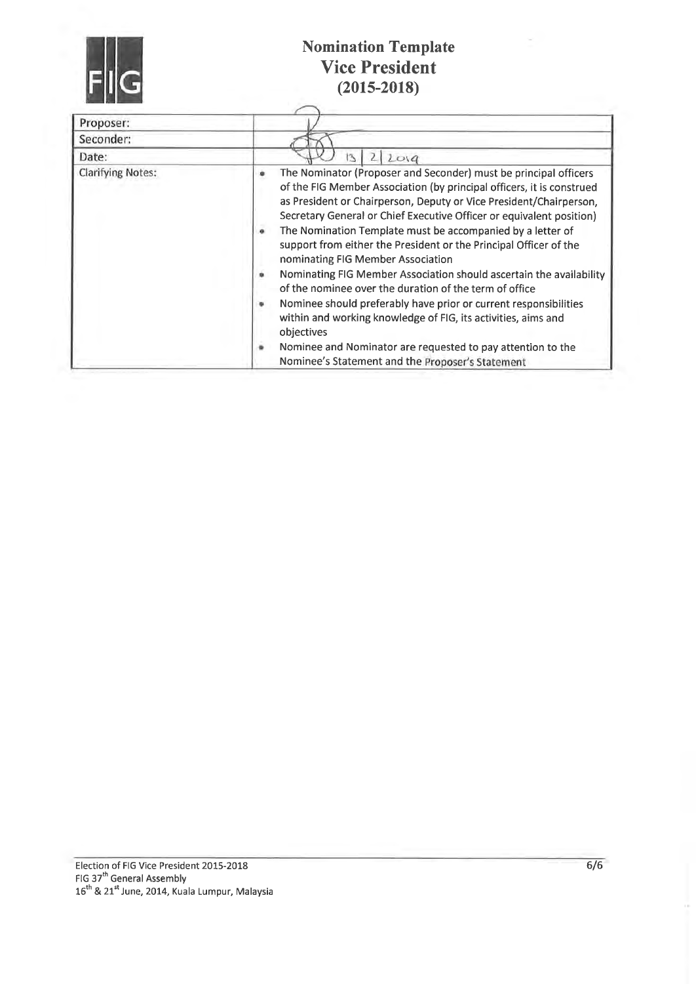

| Proposer:                |                                                                                                                                                                                                                                                                                                                                                                                                                                                                                                                                                                                                                                                                                                                                                                                                                                                                                       |
|--------------------------|---------------------------------------------------------------------------------------------------------------------------------------------------------------------------------------------------------------------------------------------------------------------------------------------------------------------------------------------------------------------------------------------------------------------------------------------------------------------------------------------------------------------------------------------------------------------------------------------------------------------------------------------------------------------------------------------------------------------------------------------------------------------------------------------------------------------------------------------------------------------------------------|
| Seconder:                |                                                                                                                                                                                                                                                                                                                                                                                                                                                                                                                                                                                                                                                                                                                                                                                                                                                                                       |
| Date:                    | 2019<br>13                                                                                                                                                                                                                                                                                                                                                                                                                                                                                                                                                                                                                                                                                                                                                                                                                                                                            |
| <b>Clarifying Notes:</b> | The Nominator (Proposer and Seconder) must be principal officers<br>۰<br>of the FIG Member Association (by principal officers, it is construed<br>as President or Chairperson, Deputy or Vice President/Chairperson,<br>Secretary General or Chief Executive Officer or equivalent position)<br>The Nomination Template must be accompanied by a letter of<br>۰<br>support from either the President or the Principal Officer of the<br>nominating FIG Member Association<br>Nominating FIG Member Association should ascertain the availability<br>of the nominee over the duration of the term of office<br>Nominee should preferably have prior or current responsibilities<br>within and working knowledge of FIG, its activities, aims and<br>objectives<br>Nominee and Nominator are requested to pay attention to the<br>۰<br>Nominee's Statement and the Proposer's Statement |